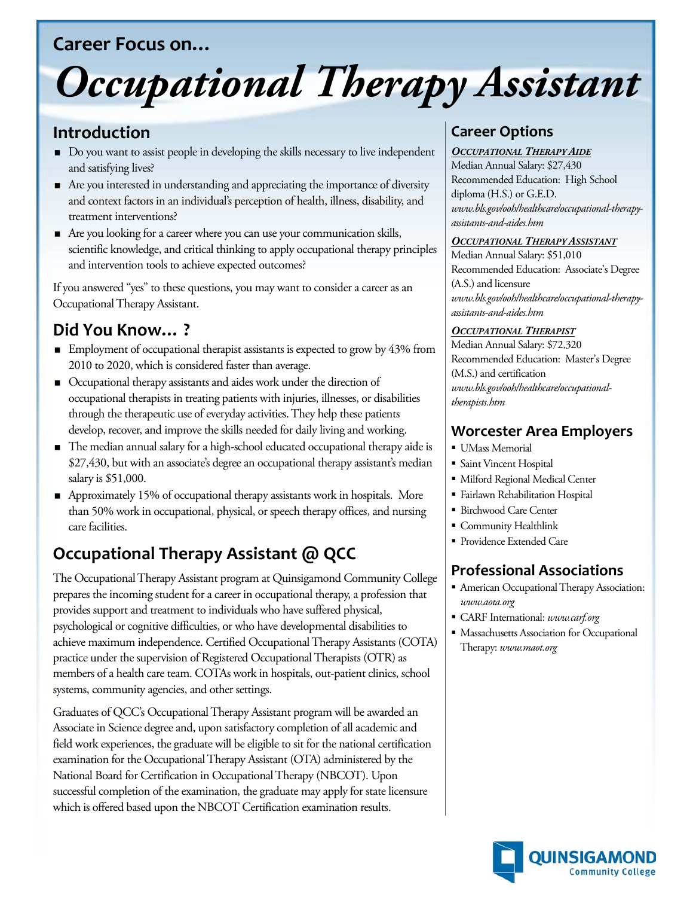# **Career Focus on…**

# *Occupational Therapy Assistant*

#### **Introduction**

- Do you want to assist people in developing the skills necessary to live independent and satisfying lives?
- Are you interested in understanding and appreciating the importance of diversity and context factors in an individual's perception of health, illness, disability, and treatment interventions?
- Are you looking for a career where you can use your communication skills, scientific knowledge, and critical thinking to apply occupational therapy principles and intervention tools to achieve expected outcomes?

If you answered "yes" to these questions, you may want to consider a career as an Occupational Therapy Assistant.

# **Did You Know… ?**

- **Employment of occupational therapist assistants is expected to grow by 43% from** 2010 to 2020, which is considered faster than average.
- Occupational therapy assistants and aides work under the direction of occupational therapists in treating patients with injuries, illnesses, or disabilities through the therapeutic use of everyday activities. They help these patients develop, recover, and improve the skills needed for daily living and working.
- The median annual salary for a high-school educated occupational therapy aide is \$27,430, but with an associate's degree an occupational therapy assistant's median salary is \$51,000.
- Approximately 15% of occupational therapy assistants work in hospitals. More than 50% work in occupational, physical, or speech therapy offices, and nursing care facilities.

# **Occupational Therapy Assistant @ QCC**

The Occupational Therapy Assistant program at Quinsigamond Community College prepares the incoming student for a career in occupational therapy, a profession that provides support and treatment to individuals who have suffered physical, psychological or cognitive difficulties, or who have developmental disabilities to achieve maximum independence. Certified Occupational Therapy Assistants (COTA) practice under the supervision of Registered Occupational Therapists (OTR) as members of a health care team. COTAs work in hospitals, out-patient clinics, school systems, community agencies, and other settings.

Graduates of QCC's Occupational Therapy Assistant program will be awarded an Associate in Science degree and, upon satisfactory completion of all academic and field work experiences, the graduate will be eligible to sit for the national certification examination for the Occupational Therapy Assistant (OTA) administered by the National Board for Certification in Occupational Therapy (NBCOT). Upon successful completion of the examination, the graduate may apply for state licensure which is offered based upon the NBCOT Certification examination results.

#### **Career Options**

#### *OCCUPATIONAL THERAPY AIDE*

Median Annual Salary: \$27,430 Recommended Education: High School diploma (H.S.) or G.E.D. *www.bls.gov/ooh/healthcare/occupational-therapyassistants-and-aides.htm* 

#### *OCCUPATIONAL THERAPY ASSISTANT*

Median Annual Salary: \$51,010 Recommended Education: Associate's Degree (A.S.) and licensure *www.bls.gov/ooh/healthcare/occupational-therapyassistants-and-aides.htm* 

#### *OCCUPATIONAL THERAPIST*

Median Annual Salary: \$72,320 Recommended Education: Master's Degree (M.S.) and certification *www.bls.gov/ooh/healthcare/occupationaltherapists.htm* 

#### **Worcester Area Employers**

- **UMass Memorial**
- Saint Vincent Hospital
- Milford Regional Medical Center
- Fairlawn Rehabilitation Hospital
- Birchwood Care Center
- **Community Healthlink**
- **Providence Extended Care**

#### **Professional Associations**

- American Occupational Therapy Association: *www.aota.org*
- CARF International: *www.carf.org*
- **Massachusetts Association for Occupational** Therapy: *www.maot.org*